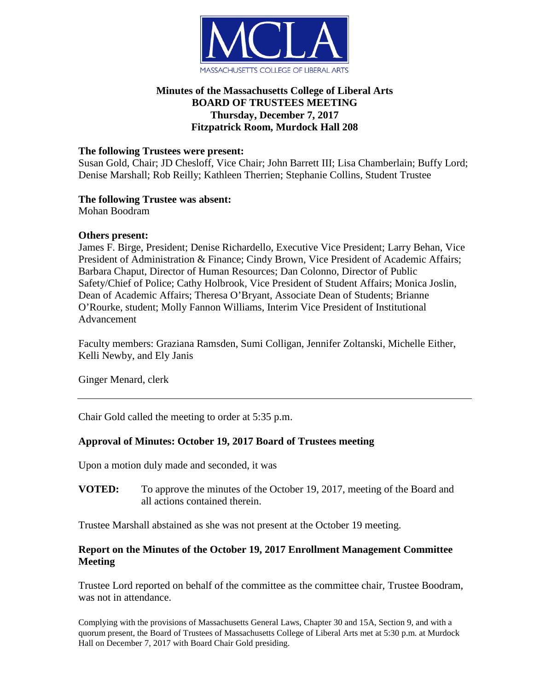

# **Minutes of the Massachusetts College of Liberal Arts BOARD OF TRUSTEES MEETING Thursday, December 7, 2017 Fitzpatrick Room, Murdock Hall 208**

### **The following Trustees were present:**

Susan Gold, Chair; JD Chesloff, Vice Chair; John Barrett III; Lisa Chamberlain; Buffy Lord; Denise Marshall; Rob Reilly; Kathleen Therrien; Stephanie Collins, Student Trustee

## **The following Trustee was absent:**

Mohan Boodram

#### **Others present:**

James F. Birge, President; Denise Richardello, Executive Vice President; Larry Behan, Vice President of Administration & Finance; Cindy Brown, Vice President of Academic Affairs; Barbara Chaput, Director of Human Resources; Dan Colonno, Director of Public Safety/Chief of Police; Cathy Holbrook, Vice President of Student Affairs; Monica Joslin, Dean of Academic Affairs; Theresa O'Bryant, Associate Dean of Students; Brianne O'Rourke, student; Molly Fannon Williams, Interim Vice President of Institutional Advancement

Faculty members: Graziana Ramsden, Sumi Colligan, Jennifer Zoltanski, Michelle Either, Kelli Newby, and Ely Janis

Ginger Menard, clerk

Chair Gold called the meeting to order at 5:35 p.m.

## **Approval of Minutes: October 19, 2017 Board of Trustees meeting**

Upon a motion duly made and seconded, it was

**VOTED:** To approve the minutes of the October 19, 2017, meeting of the Board and all actions contained therein.

Trustee Marshall abstained as she was not present at the October 19 meeting.

## **Report on the Minutes of the October 19, 2017 Enrollment Management Committee Meeting**

Trustee Lord reported on behalf of the committee as the committee chair, Trustee Boodram, was not in attendance.

Complying with the provisions of Massachusetts General Laws, Chapter 30 and 15A, Section 9, and with a quorum present, the Board of Trustees of Massachusetts College of Liberal Arts met at 5:30 p.m. at Murdock Hall on December 7, 2017 with Board Chair Gold presiding.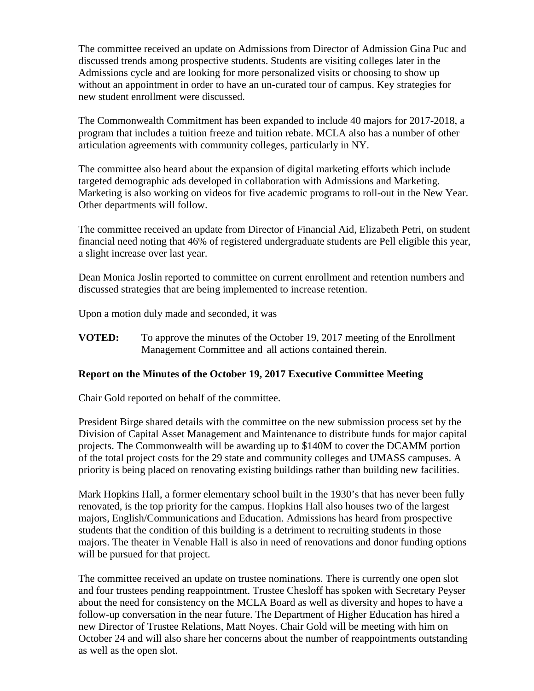The committee received an update on Admissions from Director of Admission Gina Puc and discussed trends among prospective students. Students are visiting colleges later in the Admissions cycle and are looking for more personalized visits or choosing to show up without an appointment in order to have an un-curated tour of campus. Key strategies for new student enrollment were discussed.

The Commonwealth Commitment has been expanded to include 40 majors for 2017-2018, a program that includes a tuition freeze and tuition rebate. MCLA also has a number of other articulation agreements with community colleges, particularly in NY.

The committee also heard about the expansion of digital marketing efforts which include targeted demographic ads developed in collaboration with Admissions and Marketing. Marketing is also working on videos for five academic programs to roll-out in the New Year. Other departments will follow.

The committee received an update from Director of Financial Aid, Elizabeth Petri, on student financial need noting that 46% of registered undergraduate students are Pell eligible this year, a slight increase over last year.

Dean Monica Joslin reported to committee on current enrollment and retention numbers and discussed strategies that are being implemented to increase retention.

Upon a motion duly made and seconded, it was

**VOTED:** To approve the minutes of the October 19, 2017 meeting of the Enrollment Management Committee and all actions contained therein.

## **Report on the Minutes of the October 19, 2017 Executive Committee Meeting**

Chair Gold reported on behalf of the committee.

President Birge shared details with the committee on the new submission process set by the Division of Capital Asset Management and Maintenance to distribute funds for major capital projects. The Commonwealth will be awarding up to \$140M to cover the DCAMM portion of the total project costs for the 29 state and community colleges and UMASS campuses. A priority is being placed on renovating existing buildings rather than building new facilities.

Mark Hopkins Hall, a former elementary school built in the 1930's that has never been fully renovated, is the top priority for the campus. Hopkins Hall also houses two of the largest majors, English/Communications and Education. Admissions has heard from prospective students that the condition of this building is a detriment to recruiting students in those majors. The theater in Venable Hall is also in need of renovations and donor funding options will be pursued for that project.

The committee received an update on trustee nominations. There is currently one open slot and four trustees pending reappointment. Trustee Chesloff has spoken with Secretary Peyser about the need for consistency on the MCLA Board as well as diversity and hopes to have a follow-up conversation in the near future. The Department of Higher Education has hired a new Director of Trustee Relations, Matt Noyes. Chair Gold will be meeting with him on October 24 and will also share her concerns about the number of reappointments outstanding as well as the open slot.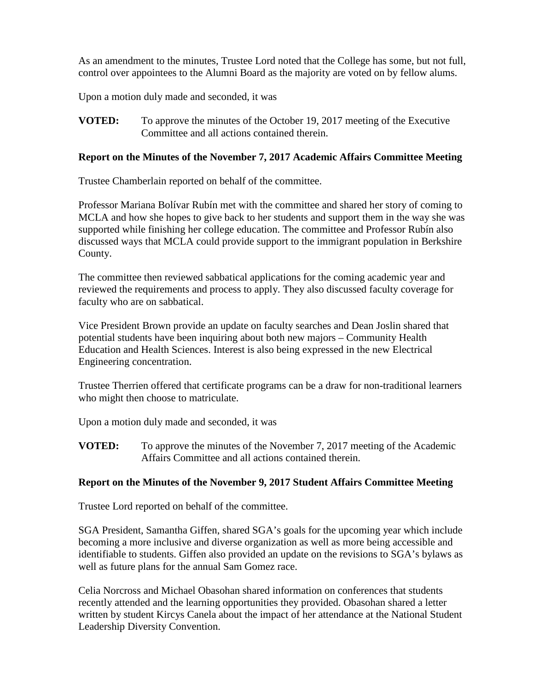As an amendment to the minutes, Trustee Lord noted that the College has some, but not full, control over appointees to the Alumni Board as the majority are voted on by fellow alums.

Upon a motion duly made and seconded, it was

**VOTED:** To approve the minutes of the October 19, 2017 meeting of the Executive Committee and all actions contained therein.

#### **Report on the Minutes of the November 7, 2017 Academic Affairs Committee Meeting**

Trustee Chamberlain reported on behalf of the committee.

Professor Mariana Bolívar Rubín met with the committee and shared her story of coming to MCLA and how she hopes to give back to her students and support them in the way she was supported while finishing her college education. The committee and Professor Rubín also discussed ways that MCLA could provide support to the immigrant population in Berkshire County.

The committee then reviewed sabbatical applications for the coming academic year and reviewed the requirements and process to apply. They also discussed faculty coverage for faculty who are on sabbatical.

Vice President Brown provide an update on faculty searches and Dean Joslin shared that potential students have been inquiring about both new majors – Community Health Education and Health Sciences. Interest is also being expressed in the new Electrical Engineering concentration.

Trustee Therrien offered that certificate programs can be a draw for non-traditional learners who might then choose to matriculate.

Upon a motion duly made and seconded, it was

**VOTED:** To approve the minutes of the November 7, 2017 meeting of the Academic Affairs Committee and all actions contained therein.

## **Report on the Minutes of the November 9, 2017 Student Affairs Committee Meeting**

Trustee Lord reported on behalf of the committee.

SGA President, Samantha Giffen, shared SGA's goals for the upcoming year which include becoming a more inclusive and diverse organization as well as more being accessible and identifiable to students. Giffen also provided an update on the revisions to SGA's bylaws as well as future plans for the annual Sam Gomez race.

Celia Norcross and Michael Obasohan shared information on conferences that students recently attended and the learning opportunities they provided. Obasohan shared a letter written by student Kircys Canela about the impact of her attendance at the National Student Leadership Diversity Convention.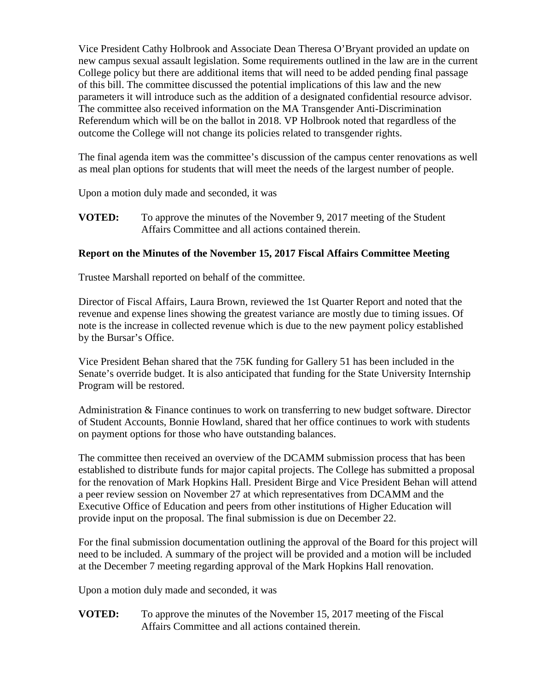Vice President Cathy Holbrook and Associate Dean Theresa O'Bryant provided an update on new campus sexual assault legislation. Some requirements outlined in the law are in the current College policy but there are additional items that will need to be added pending final passage of this bill. The committee discussed the potential implications of this law and the new parameters it will introduce such as the addition of a designated confidential resource advisor. The committee also received information on the MA Transgender Anti-Discrimination Referendum which will be on the ballot in 2018. VP Holbrook noted that regardless of the outcome the College will not change its policies related to transgender rights.

The final agenda item was the committee's discussion of the campus center renovations as well as meal plan options for students that will meet the needs of the largest number of people.

Upon a motion duly made and seconded, it was

**VOTED:** To approve the minutes of the November 9, 2017 meeting of the Student Affairs Committee and all actions contained therein.

## **Report on the Minutes of the November 15, 2017 Fiscal Affairs Committee Meeting**

Trustee Marshall reported on behalf of the committee.

Director of Fiscal Affairs, Laura Brown, reviewed the 1st Quarter Report and noted that the revenue and expense lines showing the greatest variance are mostly due to timing issues. Of note is the increase in collected revenue which is due to the new payment policy established by the Bursar's Office.

Vice President Behan shared that the 75K funding for Gallery 51 has been included in the Senate's override budget. It is also anticipated that funding for the State University Internship Program will be restored.

Administration & Finance continues to work on transferring to new budget software. Director of Student Accounts, Bonnie Howland, shared that her office continues to work with students on payment options for those who have outstanding balances.

The committee then received an overview of the DCAMM submission process that has been established to distribute funds for major capital projects. The College has submitted a proposal for the renovation of Mark Hopkins Hall. President Birge and Vice President Behan will attend a peer review session on November 27 at which representatives from DCAMM and the Executive Office of Education and peers from other institutions of Higher Education will provide input on the proposal. The final submission is due on December 22.

For the final submission documentation outlining the approval of the Board for this project will need to be included. A summary of the project will be provided and a motion will be included at the December 7 meeting regarding approval of the Mark Hopkins Hall renovation.

Upon a motion duly made and seconded, it was

**VOTED:** To approve the minutes of the November 15, 2017 meeting of the Fiscal Affairs Committee and all actions contained therein.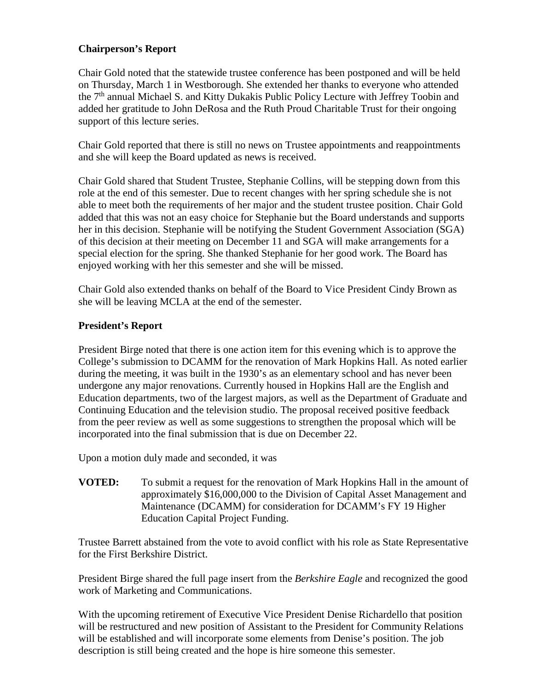### **Chairperson's Report**

Chair Gold noted that the statewide trustee conference has been postponed and will be held on Thursday, March 1 in Westborough. She extended her thanks to everyone who attended the  $7<sup>th</sup>$  annual Michael S. and Kitty Dukakis Public Policy Lecture with Jeffrey Toobin and added her gratitude to John DeRosa and the Ruth Proud Charitable Trust for their ongoing support of this lecture series.

Chair Gold reported that there is still no news on Trustee appointments and reappointments and she will keep the Board updated as news is received.

Chair Gold shared that Student Trustee, Stephanie Collins, will be stepping down from this role at the end of this semester. Due to recent changes with her spring schedule she is not able to meet both the requirements of her major and the student trustee position. Chair Gold added that this was not an easy choice for Stephanie but the Board understands and supports her in this decision. Stephanie will be notifying the Student Government Association (SGA) of this decision at their meeting on December 11 and SGA will make arrangements for a special election for the spring. She thanked Stephanie for her good work. The Board has enjoyed working with her this semester and she will be missed.

Chair Gold also extended thanks on behalf of the Board to Vice President Cindy Brown as she will be leaving MCLA at the end of the semester.

#### **President's Report**

President Birge noted that there is one action item for this evening which is to approve the College's submission to DCAMM for the renovation of Mark Hopkins Hall. As noted earlier during the meeting, it was built in the 1930's as an elementary school and has never been undergone any major renovations. Currently housed in Hopkins Hall are the English and Education departments, two of the largest majors, as well as the Department of Graduate and Continuing Education and the television studio. The proposal received positive feedback from the peer review as well as some suggestions to strengthen the proposal which will be incorporated into the final submission that is due on December 22.

Upon a motion duly made and seconded, it was

**VOTED:** To submit a request for the renovation of Mark Hopkins Hall in the amount of approximately \$16,000,000 to the Division of Capital Asset Management and Maintenance (DCAMM) for consideration for DCAMM's FY 19 Higher Education Capital Project Funding.

Trustee Barrett abstained from the vote to avoid conflict with his role as State Representative for the First Berkshire District.

President Birge shared the full page insert from the *Berkshire Eagle* and recognized the good work of Marketing and Communications.

With the upcoming retirement of Executive Vice President Denise Richardello that position will be restructured and new position of Assistant to the President for Community Relations will be established and will incorporate some elements from Denise's position. The job description is still being created and the hope is hire someone this semester.